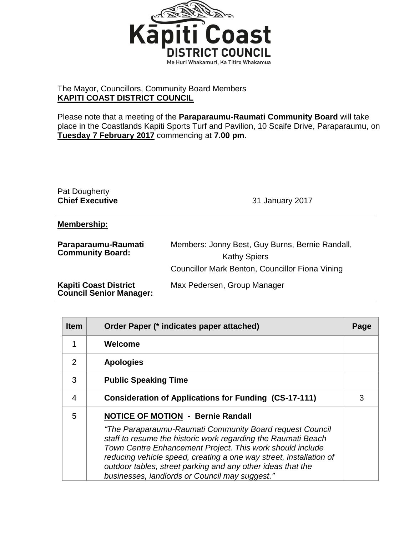

## The Mayor, Councillors, Community Board Members **KAPITI COAST DISTRICT COUNCIL**

Please note that a meeting of the **Paraparaumu-Raumati Community Board** will take place in the Coastlands Kapiti Sports Turf and Pavilion, 10 Scaife Drive, Paraparaumu, on **Tuesday 7 February 2017** commencing at **7.00 pm**.

| Pat Dougherty<br><b>Chief Executive</b>        | 31 January 2017                                                                                                           |
|------------------------------------------------|---------------------------------------------------------------------------------------------------------------------------|
| Membership:                                    |                                                                                                                           |
| Paraparaumu-Raumati<br><b>Community Board:</b> | Members: Jonny Best, Guy Burns, Bernie Randall,<br><b>Kathy Spiers</b><br>Councillor Mark Benton, Councillor Fiona Vining |
| <b>Kapiti Coast District</b>                   | Max Pedersen, Group Manager                                                                                               |

**Council Senior Manager:**

| <b>Item</b>    | Order Paper (* indicates paper attached)                                                                                                                                                                                                                                                                                                                                                                                  | Page |
|----------------|---------------------------------------------------------------------------------------------------------------------------------------------------------------------------------------------------------------------------------------------------------------------------------------------------------------------------------------------------------------------------------------------------------------------------|------|
| 1              | Welcome                                                                                                                                                                                                                                                                                                                                                                                                                   |      |
| $\overline{2}$ | <b>Apologies</b>                                                                                                                                                                                                                                                                                                                                                                                                          |      |
| 3              | <b>Public Speaking Time</b>                                                                                                                                                                                                                                                                                                                                                                                               |      |
| $\overline{4}$ | <b>Consideration of Applications for Funding (CS-17-111)</b>                                                                                                                                                                                                                                                                                                                                                              |      |
| 5              | <b>NOTICE OF MOTION - Bernie Randall</b><br>"The Paraparaumu-Raumati Community Board request Council<br>staff to resume the historic work regarding the Raumati Beach<br>Town Centre Enhancement Project. This work should include<br>reducing vehicle speed, creating a one way street, installation of<br>outdoor tables, street parking and any other ideas that the<br>businesses, landlords or Council may suggest." |      |